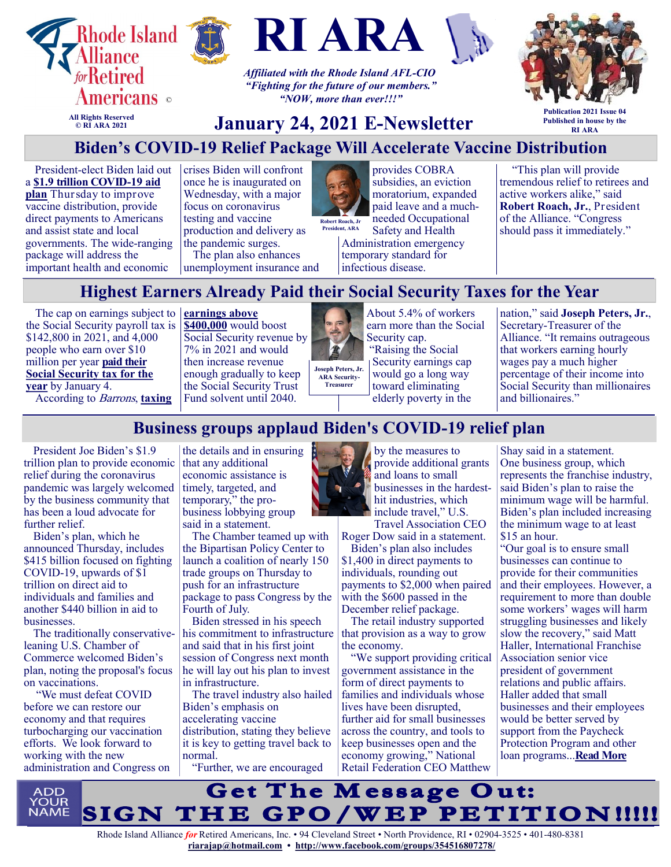





*Affiliated with the Rhode Island AFL-CIO "Fighting for the future of our members." "NOW, more than ever!!!"*



**All Rights Reserved © RI ARA 2021**

## **January 24, 2021 E-Newsletter**

**Publication 2021 Issue 04 Published in house by the RI ARA**

## **Biden's COVID-19 Relief Package Will Accelerate Vaccine Distribution**

President-elect Biden laid out a **[\\$1.9 trillion COVID](https://u1584542.ct.sendgrid.net/ss/c/atcYNHk4Eh2YdGnwBh-YDDUV27dB1SLFWpo-Uwox6EMQGKb4EVeN7X0u1Ml4dyYj_IFQlqMVIvjiCveVFQrY94HuSeDTrHZ3A7crlXHdysg1ktKS_OqpRYA8q0oo-hOxxJDaferPdauAV1J1Oxr1WeKISJ3qBXabin56_-2NiUB6fiXoak6g46JtnliN-_ri-dM1WXgL2AGgNfJglDMfzi0JVl8XD)-19 aid [plan](https://u1584542.ct.sendgrid.net/ss/c/atcYNHk4Eh2YdGnwBh-YDDUV27dB1SLFWpo-Uwox6EMQGKb4EVeN7X0u1Ml4dyYj_IFQlqMVIvjiCveVFQrY94HuSeDTrHZ3A7crlXHdysg1ktKS_OqpRYA8q0oo-hOxxJDaferPdauAV1J1Oxr1WeKISJ3qBXabin56_-2NiUB6fiXoak6g46JtnliN-_ri-dM1WXgL2AGgNfJglDMfzi0JVl8XD)** Thursday to improve vaccine distribution, provide direct payments to Americans and assist state and local governments. The wide-ranging package will address the important health and economic

crises Biden will confront once he is inaugurated on Wednesday, with a major focus on coronavirus testing and vaccine production and delivery as the pandemic surges. The plan also enhances unemployment insurance and



needed Occupational Safety and Health **Robert Roach, Jr President, ARA**

Administration emergency temporary standard for infectious disease.

provides COBRA subsidies, an eviction moratorium, expanded paid leave and a much-

"This plan will provide tremendous relief to retirees and active workers alike," said **Robert Roach, Jr.**, President of the Alliance. "Congress should pass it immediately."

# **Highest Earners Already Paid their Social Security Taxes for the Year**

The cap on earnings subject to **[earnings above](https://u1584542.ct.sendgrid.net/ss/c/atcYNHk4Eh2YdGnwBh-YDLwjKWgmtnzQz-9gPMRtJGmTnSF4hp-AicqIbKaB_PAzeGQwsR-yj9WOOrOm1EheYhaK_7VGP64wxzrkK35KZ31yucqzSs-WVw7xPQNlp0G21pxp4cd7ypMrQ8USOomjFnOvulR8D7pEteKGLaCsgcDopUOa0jYQ9AnGdewSQNuXB5isTijUmcd3dlszm6BdAOnjoo192)**  the Social Security payroll tax is \$142,800 in 2021, and 4,000 people who earn over \$10 million per year **[paid their](https://u1584542.ct.sendgrid.net/ss/c/atcYNHk4Eh2YdGnwBh-YDIsPxCb-5oVxjU8mUQbbYNIMKes1gx4xZite0slubQ6T5vVhVzYE9CW1sw0-uvs_6rWPA3_cCkozASkaafbXh3Rg-5tdKs_0PcnpJsgNrEKtNJwlZs8mp9nZ8U8LURaUifefVNNYfFQfvLQ0QdVqY6sczp4F2KJD9QOHD_vkFlPTgdm40Nbh4bDrxIDVPJ_a1d5i9KPcC)  [Social Security tax for the](https://u1584542.ct.sendgrid.net/ss/c/atcYNHk4Eh2YdGnwBh-YDIsPxCb-5oVxjU8mUQbbYNIMKes1gx4xZite0slubQ6T5vVhVzYE9CW1sw0-uvs_6rWPA3_cCkozASkaafbXh3Rg-5tdKs_0PcnpJsgNrEKtNJwlZs8mp9nZ8U8LURaUifefVNNYfFQfvLQ0QdVqY6sczp4F2KJD9QOHD_vkFlPTgdm40Nbh4bDrxIDVPJ_a1d5i9KPcC)  [year](https://u1584542.ct.sendgrid.net/ss/c/atcYNHk4Eh2YdGnwBh-YDIsPxCb-5oVxjU8mUQbbYNIMKes1gx4xZite0slubQ6T5vVhVzYE9CW1sw0-uvs_6rWPA3_cCkozASkaafbXh3Rg-5tdKs_0PcnpJsgNrEKtNJwlZs8mp9nZ8U8LURaUifefVNNYfFQfvLQ0QdVqY6sczp4F2KJD9QOHD_vkFlPTgdm40Nbh4bDrxIDVPJ_a1d5i9KPcC)** by January 4. According to Barrons, **[taxing](https://u1584542.ct.sendgrid.net/ss/c/atcYNHk4Eh2YdGnwBh-YDLwjKWgmtnzQz-9gPMRtJGmTnSF4hp-AicqIbKaB_PAzeGQwsR-yj9WOOrOm1EheYhaK_7VGP64wxzrkK35KZ31yucqzSs-WVw7xPQNlp0G21pxp4cd7ypMrQ8USOomjFnOvulR8D7pEteKGLaCsgcDopUOa0jYQ9AnGdewSQNuXB5isTijUmcd3dlszm6BdAOnjoo192)** 

**[\\$400,000](https://u1584542.ct.sendgrid.net/ss/c/atcYNHk4Eh2YdGnwBh-YDLwjKWgmtnzQz-9gPMRtJGmTnSF4hp-AicqIbKaB_PAzeGQwsR-yj9WOOrOm1EheYhaK_7VGP64wxzrkK35KZ31yucqzSs-WVw7xPQNlp0G21pxp4cd7ypMrQ8USOomjFnOvulR8D7pEteKGLaCsgcDopUOa0jYQ9AnGdewSQNuXB5isTijUmcd3dlszm6BdAOnjoo192)** would boost Social Security revenue by 7% in 2021 and would then increase revenue enough gradually to keep the Social Security Trust Fund solvent until 2040.



**Treasurer**

About 5.4% of workers earn more than the Social Security cap. "Raising the Social Security earnings cap

would go a long way toward eliminating elderly poverty in the nation," said **Joseph Peters, Jr.**, Secretary-Treasurer of the Alliance. "It remains outrageous that workers earning hourly wages pay a much higher percentage of their income into Social Security than millionaires and billionaires."

## **Business groups applaud Biden's COVID-19 relief plan**

President [Joe Biden'](https://thehill.com/people/joe-biden)s \$1.9 trillion plan to provide economic relief during the coronavirus pandemic was largely welcomed by the business community that has been a loud advocate for further relief.

Biden's plan, which he announced Thursday, includes \$415 billion focused on fighting COVID-19, upwards of \$1 trillion on direct aid to individuals and families and another \$440 billion in aid to businesses.

The traditionally conservativeleaning U.S. Chamber of Commerce welcomed Biden's plan, noting the proposal's focus on vaccinations.

"We must defeat COVID before we can restore our economy and that requires turbocharging our vaccination efforts. We look forward to working with the new administration and Congress on

the details and in ensuring that any additional economic assistance is timely, targeted, and temporary," the probusiness lobbying group said in a statement.

The Chamber teamed up with the Bipartisan Policy Center to launch a coalition of nearly 150 trade groups on Thursday to push for an infrastructure package to pass Congress by the Fourth of July.

Biden stressed in his speech his commitment to infrastructure and said that in his first joint session of Congress next month he will lay out his plan to invest in infrastructure.

The travel industry also hailed Biden's emphasis on accelerating vaccine distribution, stating they believe it is key to getting travel back to normal.

"Further, we are encouraged



by the measures to provide additional grants and loans to small businesses in the hardesthit industries, which include travel," U.S. Travel Association CEO

Roger Dow said in a statement.

Biden's plan also includes \$1,400 in direct payments to individuals, rounding out payments to \$2,000 when paired with the \$600 passed in the December relief package.

The retail industry supported that provision as a way to grow the economy.

"We support providing critical government assistance in the form of direct payments to families and individuals whose lives have been disrupted, further aid for small businesses across the country, and tools to keep businesses open and the economy growing," National Retail Federation CEO Matthew Shay said in a statement. One business group, which represents the franchise industry, said Biden's plan to raise the minimum wage will be harmful. Biden's plan included increasing the minimum wage to at least \$15 an hour.

"Our goal is to ensure small businesses can continue to provide for their communities and their employees. However, a requirement to more than double some workers' wages will harm struggling businesses and likely slow the recovery," said Matt Haller, International Franchise Association senior vice president of government relations and public affairs. Haller added that small businesses and their employees would be better served by support from the Paycheck Protection Program and other loan programs...**[Read More](https://thehill.com/business-a-lobbying/534361-business-groups-applaud-bidens-covid-relief-plan)**

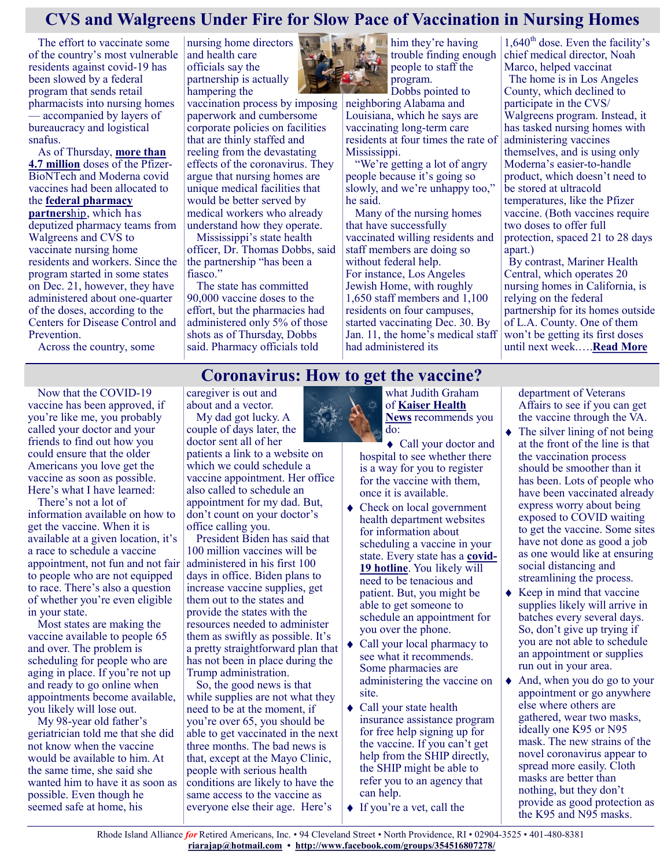#### **CVS and Walgreens Under Fire for Slow Pace of Vaccination in Nursing Homes**

The effort to vaccinate some of the country's most vulnerable residents against covid-19 has been slowed by a federal program that sends retail pharmacists into nursing homes — accompanied by layers of bureaucracy and logistical snafus.

As of Thursday, **[more than](https://covid.cdc.gov/covid-data-tracker/#vaccinations)  [4.7 million](https://covid.cdc.gov/covid-data-tracker/#vaccinations)** doses of the Pfizer-BioNTech and Moderna covid vaccines had been allocated to the **[federal pharmacy](https://www.hhs.gov/about/news/2020/10/16/trump-aministration-partners-cvs-walgreens-provide-covid-19-vaccine-protect-vulnerable-americans-long-term-care-facilities-nationwide.html)  [partners](https://www.hhs.gov/about/news/2020/10/16/trump-aministration-partners-cvs-walgreens-provide-covid-19-vaccine-protect-vulnerable-americans-long-term-care-facilities-nationwide.html)**hip, which has deputized pharmacy teams from Walgreens and CVS to vaccinate nursing home residents and workers. Since the program started in some states on Dec. 21, however, they have administered about one-quarter of the doses, according to the Centers for Disease Control and Prevention.

Across the country, some

nursing home directors and health care officials say the partnership is actually hampering the

vaccination process by imposing paperwork and cumbersome corporate policies on facilities that are thinly staffed and reeling from the devastating effects of the coronavirus. They argue that nursing homes are unique medical facilities that would be better served by medical workers who already understand how they operate.

Mississippi's state health officer, Dr. Thomas Dobbs, said the partnership "has been a fiasco."

The state has committed 90,000 vaccine doses to the effort, but the pharmacies had administered only 5% of those shots as of Thursday, Dobbs said. Pharmacy officials told

*M* him they're having trouble finding enough people to staff the program.

Dobbs pointed to neighboring Alabama and Louisiana, which he says are vaccinating long-term care residents at four times the rate of Mississippi.

"We're getting a lot of angry people because it's going so slowly, and we're unhappy too," he said.

Many of the nursing homes that have successfully vaccinated willing residents and staff members are doing so without federal help. For instance, Los Angeles Jewish Home, with roughly 1,650 staff members and 1,100 residents on four campuses, started vaccinating Dec. 30. By Jan. 11, the home's medical staff had administered its

 $1,640^{\text{th}}$  dose. Even the facility's chief medical director, Noah Marco, helped vaccinat The home is in Los Angeles County, which declined to participate in the CVS/ Walgreens program. Instead, it has tasked nursing homes with administering vaccines themselves, and is using only Moderna's easier-to-handle product, which doesn't need to be stored at ultracold temperatures, like the Pfizer vaccine. (Both vaccines require two doses to offer full protection, spaced 21 to 28 days apart.)

By contrast, Mariner Health Central, which operates 20 nursing homes in California, is relying on the federal partnership for its homes outside of L.A. County. One of them won't be getting its first doses until next week.….**[Read More](https://khn.org/news/article/cvs-and-walgreens-under-fire-for-slow-pace-of-vaccination-in-nursing-homes/)**

#### **Coronavirus: How to get the vaccine?**

Now that the COVID-19 vaccine has been approved, if you're like me, you probably called your doctor and your friends to find out how you could ensure that the older Americans you love get the vaccine as soon as possible. Here's what I have learned:

There's not a lot of information available on how to get the vaccine. When it is available at a given location, it's a race to schedule a vaccine appointment, not fun and not fair to people who are not equipped to race. There's also a question of whether you're even eligible in your state.

Most states are making the vaccine available to people 65 and over. The problem is scheduling for people who are aging in place. If you're not up and ready to go online when appointments become available, you likely will lose out.

My 98-year old father's geriatrician told me that she did not know when the vaccine would be available to him. At the same time, she said she wanted him to have it as soon as possible. Even though he seemed safe at home, his

caregiver is out and about and a vector.

My dad got lucky. A couple of days later, the doctor sent all of her

patients a link to a website on which we could schedule a vaccine appointment. Her office also called to schedule an appointment for my dad. But, don't count on your doctor's office calling you.

President Biden has said that 100 million vaccines will be administered in his first 100 days in office. Biden plans to increase vaccine supplies, get them out to the states and provide the states with the resources needed to administer them as swiftly as possible. It's a pretty straightforward plan that has not been in place during the Trump administration.

So, the good news is that while supplies are not what they need to be at the moment, if you're over 65, you should be able to get vaccinated in the next three months. The bad news is that, except at the Mayo Clinic, people with serious health conditions are likely to have the same access to the vaccine as everyone else their age. Here's

what Judith Graham of **[Kaiser Health](https://khn.org/news/article/vaccination-disarray-leaves-seniors-confused-about-when-they-can-get-a-shot/)  [News](https://khn.org/news/article/vaccination-disarray-leaves-seniors-confused-about-when-they-can-get-a-shot/)** recommends you do:

Call your doctor and hospital to see whether there is a way for you to register for the vaccine with them, once it is available.

- Check on local government health department websites for information about scheduling a vaccine in your state. Every state has a **[covid](https://careconnectusa.org/coronavirus-hotlines-usa/)-[19 hotline](https://careconnectusa.org/coronavirus-hotlines-usa/)**. You likely will need to be tenacious and patient. But, you might be able to get someone to schedule an appointment for you over the phone.
- Call your local pharmacy to see what it recommends. Some pharmacies are administering the vaccine on site.
- ◆ Call your state health insurance assistance program for free help signing up for the vaccine. If you can't get help from the SHIP directly, the SHIP might be able to refer you to an agency that can help.
- ◆ If you're a vet, call the

department of Veterans Affairs to see if you can get the vaccine through the VA.

- The silver lining of not being at the front of the line is that the vaccination process should be smoother than it has been. Lots of people who have been vaccinated already express worry about being exposed to COVID waiting to get the vaccine. Some sites have not done as good a job as one would like at ensuring social distancing and streamlining the process.
- $\triangle$  Keep in mind that vaccine supplies likely will arrive in batches every several days. So, don't give up trying if you are not able to schedule an appointment or supplies run out in your area.
- And, when you do go to your appointment or go anywhere else where others are gathered, wear two masks, ideally one K95 or N95 mask. The new strains of the novel coronavirus appear to spread more easily. Cloth masks are better than nothing, but they don't provide as good protection as the K95 and N95 masks.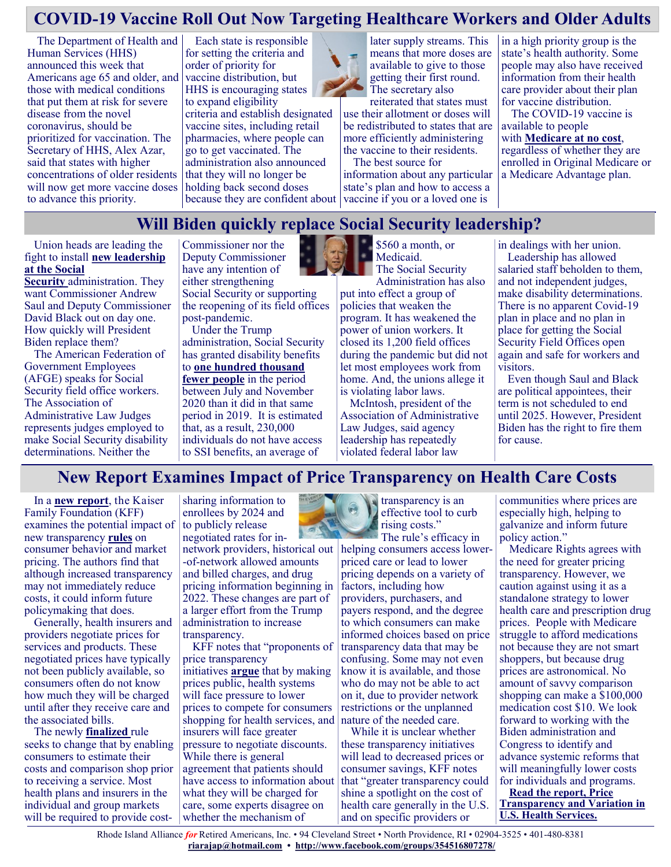## **COVID-19 Vaccine Roll Out Now Targeting Healthcare Workers and Older Adults**

The Department of Health and Human Services (HHS) announced this week that Americans age 65 and older, and those with medical conditions that put them at risk for severe disease from the novel coronavirus, should be prioritized for vaccination. The Secretary of HHS, Alex Azar, said that states with higher concentrations of older residents will now get more vaccine doses to advance this priority.

Each state is responsible for setting the criteria and order of priority for vaccine distribution, but HHS is encouraging states to expand eligibility criteria and establish designated vaccine sites, including retail pharmacies, where people can go to get vaccinated. The administration also announced that they will no longer be holding back second doses



reiterated that states must use their allotment or doses will be redistributed to states that are more efficiently administering the vaccine to their residents.

because they are confident about vaccine if you or a loved one is The best source for information about any particular state's plan and how to access a

in a high priority group is the state's health authority. Some people may also have received information from their health care provider about their plan for vaccine distribution.

The COVID-19 vaccine is available to people with **[Medicare at no cost](https://www.medicareinteractive.org/get-answers/medicare-covered-services/medicare-coverage-overview/covid-19-vaccination)**, regardless of whether they are enrolled in Original Medicare or

a Medicare Advantage plan.

**Will Biden quickly replace Social Security leadership?**

Union heads are leading the fight to install **[new leadership](https://www.govexec.com/management/2021/01/social-security-unions-urge-biden-oust-agency-leadership-day-one/171356/)  [at the Social](https://www.govexec.com/management/2021/01/social-security-unions-urge-biden-oust-agency-leadership-day-one/171356/)** 

**[Security](https://www.govexec.com/management/2021/01/social-security-unions-urge-biden-oust-agency-leadership-day-one/171356/)** administration. They want Commissioner Andrew Saul and Deputy Commissioner David Black out on day one. How quickly will President Biden replace them?

The American Federation of Government Employees (AFGE) speaks for Social Security field office workers. The Association of Administrative Law Judges represents judges employed to make Social Security disability determinations. Neither the

Commissioner nor the Deputy Commissioner have any intention of either strengthening Social Security or supporting the reopening of its field offices post-pandemic.

Under the Trump administration, Social Security has granted disability benefits to **[one hundred thousand](https://www.nytimes.com/2021/01/14/opinion/supplemental-security-income-ssa-disability.html)  [fewer people](https://www.nytimes.com/2021/01/14/opinion/supplemental-security-income-ssa-disability.html)** in the period between July and November 2020 than it did in that same period in 2019. It is estimated that, as a result, 230,000 individuals do not have access to SSI benefits, an average of



\$560 a month, or Medicaid. The Social Security

Administration has also put into effect a group of policies that weaken the program. It has weakened the power of union workers. It closed its 1,200 field offices during the pandemic but did not let most employees work from home. And, the unions allege it is violating labor laws.

McIntosh, president of the Association of Administrative Law Judges, said agency leadership has repeatedly violated federal labor law

in dealings with her union.

Leadership has allowed salaried staff beholden to them, and not independent judges, make disability determinations. There is no apparent Covid-19 plan in place and no plan in place for getting the Social Security Field Offices open again and safe for workers and visitors.

Even though Saul and Black are political appointees, their term is not scheduled to end until 2025. However, President Biden has the right to fire them for cause.

#### **New Report Examines Impact of Price Transparency on Health Care Costs**

In a **[new report](https://www.healthsystemtracker.org/brief/price-transparency-and-variation-in-u-s-health-services/?utm_campaign=KFF-2021-Peterson&utm_medium=email&_hsmi=106399907&_hsenc=p2ANqtz--deIAIrmNf8pdkFh5PWOEMbZigrE-hAWL2TVcuN3OTjwbWVFStk39G5SHV21BXeZprEz4FJr1L4SNZE33)**, the Kaiser Family Foundation (KFF) examines the potential impact of new transparency **[rules](https://www.federalregister.gov/documents/2020/11/12/2020-24591/transparency-in-coverage)** on consumer behavior and market pricing. The authors find that although increased transparency may not immediately reduce costs, it could inform future policymaking that does.

Generally, health insurers and providers negotiate prices for services and products. These negotiated prices have typically not been publicly available, so consumers often do not know how much they will be charged until after they receive care and the associated bills.

The newly **[finalized](https://www.healthaffairs.org/do/10.1377/hblog20201101.662872/full/)** rule seeks to change that by enabling consumers to estimate their costs and comparison shop prior to receiving a service. Most health plans and insurers in the individual and group markets will be required to provide cost-

sharing information to enrollees by 2024 and to publicly release negotiated rates for innetwork providers, historical out -of-network allowed amounts and billed charges, and drug pricing information beginning in

2022. These changes are part of a larger effort from the Trump administration to increase transparency.

KFF notes that "proponents of price transparency initiatives **[argue](https://www.hhs.gov/sites/default/files/Reforming-Americas-Healthcare-System-Through-Choice-and-Competition.pdf)** that by making prices public, health systems will face pressure to lower prices to compete for consumers shopping for health services, and insurers will face greater pressure to negotiate discounts. While there is general agreement that patients should have access to information about what they will be charged for care, some experts disagree on whether the mechanism of



effective tool to curb rising costs." The rule's efficacy in helping consumers access lowerpriced care or lead to lower

pricing depends on a variety of factors, including how providers, purchasers, and payers respond, and the degree to which consumers can make informed choices based on price transparency data that may be confusing. Some may not even know it is available, and those who do may not be able to act on it, due to provider network restrictions or the unplanned nature of the needed care.

While it is unclear whether these transparency initiatives will lead to decreased prices or consumer savings, KFF notes that "greater transparency could shine a spotlight on the cost of health care generally in the U.S. and on specific providers or

communities where prices are especially high, helping to galvanize and inform future policy action."

Medicare Rights agrees with the need for greater pricing transparency. However, we caution against using it as a standalone strategy to lower health care and prescription drug prices. People with Medicare struggle to afford medications not because they are not smart shoppers, but because drug prices are astronomical. No amount of savvy comparison shopping can make a \$100,000 medication cost \$10. We look forward to working with the Biden administration and Congress to identify and advance systemic reforms that will meaningfully lower costs for individuals and programs.

**[Read the report, Price](https://www.healthsystemtracker.org/brief/price-transparency-and-variation-in-u-s-health-services/?utm_campaign=KFF-2021-Peterson&utm_medium=email&_hsmi=106399907&_hsenc=p2ANqtz--deIAIrmNf8pdkFh5PWOEMbZigrE-hAWL2TVcuN3OTjwbWVFStk39G5SHV21BXeZprEz4FJr1L4SNZE33)  [Transparency and Variation in](https://www.healthsystemtracker.org/brief/price-transparency-and-variation-in-u-s-health-services/?utm_campaign=KFF-2021-Peterson&utm_medium=email&_hsmi=106399907&_hsenc=p2ANqtz--deIAIrmNf8pdkFh5PWOEMbZigrE-hAWL2TVcuN3OTjwbWVFStk39G5SHV21BXeZprEz4FJr1L4SNZE33)  [U.S. Health Services.](https://www.healthsystemtracker.org/brief/price-transparency-and-variation-in-u-s-health-services/?utm_campaign=KFF-2021-Peterson&utm_medium=email&_hsmi=106399907&_hsenc=p2ANqtz--deIAIrmNf8pdkFh5PWOEMbZigrE-hAWL2TVcuN3OTjwbWVFStk39G5SHV21BXeZprEz4FJr1L4SNZE33)**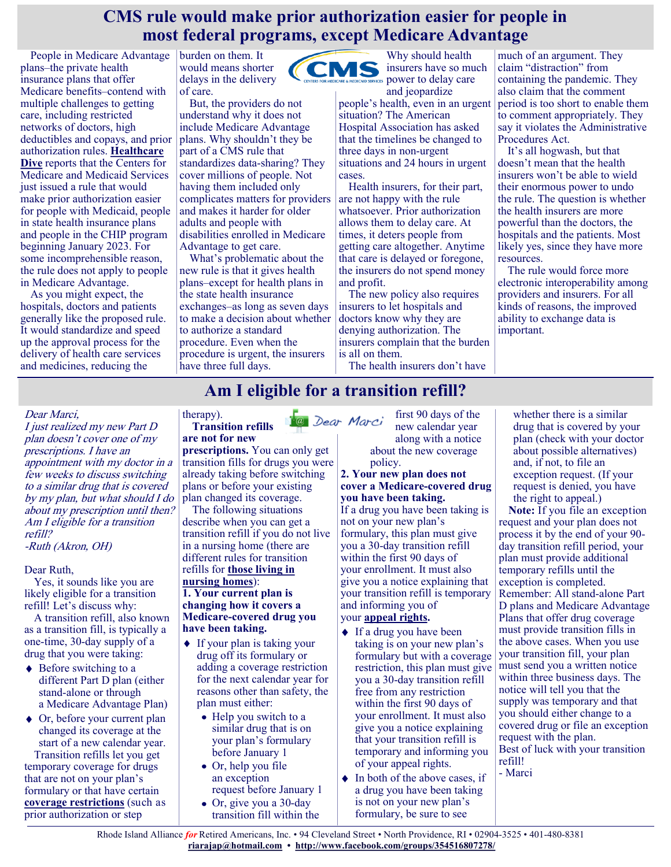#### **CMS rule would make prior authorization easier for people in most federal programs, except Medicare Advantage**

People in Medicare Advantage plans–the private health insurance plans that offer Medicare benefits–contend with multiple challenges to getting care, including restricted networks of doctors, high deductibles and copays, and prior authorization rules. **[Healthcare](https://www.healthcaredive.com/news/not-enough-time-clarity-payers-push-back-cms-prior-authorization-MA/592830/)  [Dive](https://www.healthcaredive.com/news/not-enough-time-clarity-payers-push-back-cms-prior-authorization-MA/592830/)** reports that the Centers for Medicare and Medicaid Services just issued a rule that would make prior authorization easier for people with Medicaid, people in state health insurance plans and people in the CHIP program beginning January 2023. For some incomprehensible reason, the rule does not apply to people in Medicare Advantage.

As you might expect, the hospitals, doctors and patients generally like the proposed rule. It would standardize and speed up the approval process for the delivery of health care services and medicines, reducing the

burden on them. It would means shorter delays in the delivery of care.

But, the providers do not understand why it does not include Medicare Advantage plans. Why shouldn't they be part of a CMS rule that standardizes data-sharing? They cover millions of people. Not having them included only complicates matters for providers and makes it harder for older adults and people with disabilities enrolled in Medicare Advantage to get care.

What's problematic about the new rule is that it gives health plans–except for health plans in the state health insurance exchanges–as long as seven days to make a decision about whether to authorize a standard procedure. Even when the procedure is urgent, the insurers have three full days.

Why should health CMS insurers have so much **POWER to delay care** 

> and jeopardize people's health, even in an urgent situation? The American Hospital Association has asked that the timelines be changed to three days in non-urgent situations and 24 hours in urgent cases.

Health insurers, for their part, are not happy with the rule whatsoever. Prior authorization allows them to delay care. At times, it deters people from getting care altogether. Anytime that care is delayed or foregone, the insurers do not spend money and profit.

The new policy also requires insurers to let hospitals and doctors know why they are denying authorization. The insurers complain that the burden is all on them.

The health insurers don't have

much of an argument. They claim "distraction" from containing the pandemic. They also claim that the comment period is too short to enable them to comment appropriately. They say it violates the Administrative Procedures Act.

It's all hogwash, but that doesn't mean that the health insurers won't be able to wield their enormous power to undo the rule. The question is whether the health insurers are more powerful than the doctors, the hospitals and the patients. Most likely yes, since they have more resources.

The rule would force more electronic interoperability among providers and insurers. For all kinds of reasons, the improved ability to exchange data is important.

## **Am I eligible for a transition refill?**

#### Dear Marci,

I just realized my new Part D plan doesn't cover one of my prescriptions. I have an appointment with my doctor in a few weeks to discuss switching to a similar drug that is covered by my plan, but what should I do about my prescription until then? Am I eligible for a transition refill? -Ruth (Akron, OH)

#### Dear Ruth,

Yes, it sounds like you are likely eligible for a transition refill! Let's discuss why:

A transition refill, also known as a transition fill, is typically a one-time, 30-day supply of a drug that you were taking:

- $\triangle$  Before switching to a different Part D plan (either stand-alone or through a Medicare Advantage Plan)
- ◆ Or, before your current plan changed its coverage at the start of a new calendar year. Transition refills let you get temporary coverage for drugs that are not on your plan's formulary or that have certain **[coverage restrictions](https://medicarerights.us15.list-manage.com/track/click?u=1621f54a596f3717c22815356&id=4fc8d1b63c&e=88d22ba1fe)** (such as prior authorization or step

#### therapy). **Transition refills are not for new**

**prescriptions.** You can only get transition fills for drugs you were already taking before switching plans or before your existing plan changed its coverage.

The following situations describe when you can get a transition refill if you do not live in a nursing home (there are different rules for transition refills for **[those living in](https://medicarerights.us15.list-manage.com/track/click?u=1621f54a596f3717c22815356&id=ee58ddd540&e=88d22ba1fe)  [nursing homes](https://medicarerights.us15.list-manage.com/track/click?u=1621f54a596f3717c22815356&id=ee58ddd540&e=88d22ba1fe)**): **1. Your current plan is changing how it covers a Medicare-covered drug you have been taking.** 

- ◆ If your plan is taking your drug off its formulary or adding a coverage restriction for the next calendar year for reasons other than safety, the plan must either:
	- Help you switch to a similar drug that is on your plan's formulary before January 1
	- Or, help you file an exception request before January 1
	- Or, give you a 30-day transition fill within the

first 90 days of the @ Dear Marci new calendar year along with a notice about the new coverage policy.

#### **2. Your new plan does not cover a Medicare-covered drug you have been taking.**

If a drug you have been taking is not on your new plan's formulary, this plan must give you a 30-day transition refill within the first 90 days of your enrollment. It must also give you a notice explaining that your transition refill is temporary and informing you of your **[appeal rights.](https://medicarerights.us15.list-manage.com/track/click?u=1621f54a596f3717c22815356&id=e8ecc63782&e=88d22ba1fe)**

#### ◆ If a drug you have been taking is on your new plan's formulary but with a coverage restriction, this plan must give you a 30-day transition refill free from any restriction within the first 90 days of your enrollment. It must also give you a notice explaining that your transition refill is

of your appeal rights.  $\bullet$  In both of the above cases, if a drug you have been taking is not on your new plan's formulary, be sure to see

temporary and informing you

whether there is a similar drug that is covered by your plan (check with your doctor about possible alternatives) and, if not, to file an exception request. (If your request is denied, you have the right to appeal.)

**Note:** If you file an exception request and your plan does not process it by the end of your 90 day transition refill period, your plan must provide additional temporary refills until the exception is completed. Remember: All stand-alone Part D plans and Medicare Advantage Plans that offer drug coverage must provide transition fills in the above cases. When you use your transition fill, your plan must send you a written notice within three business days. The notice will tell you that the supply was temporary and that you should either change to a covered drug or file an exception request with the plan. Best of luck with your transition refill! - Marci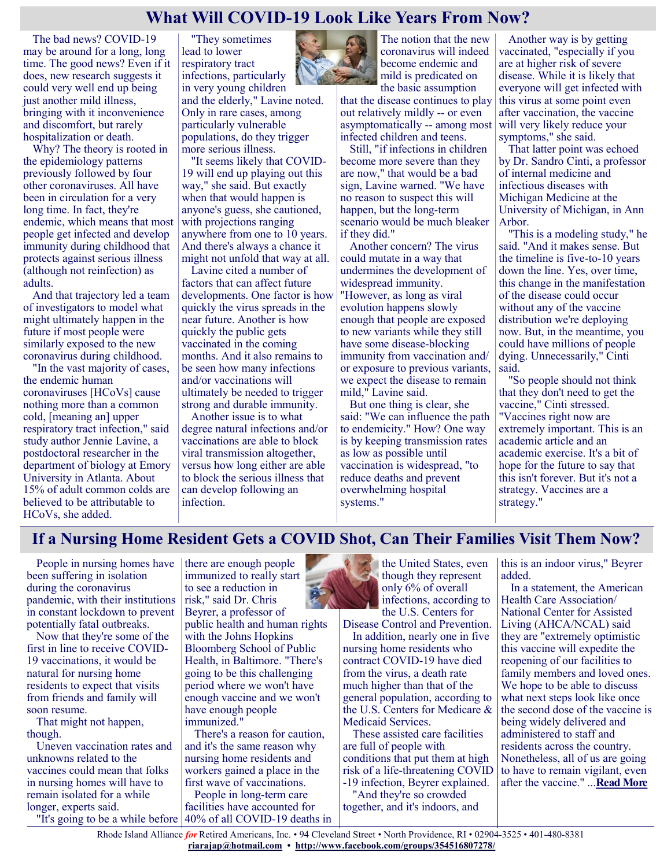#### **What Will COVID-19 Look Like Years From Now?**

The bad news? COVID-19 may be around for a long, long time. The good news? Even if it does, new research suggests it could very well end up being just another mild illness, bringing with it inconvenience and discomfort, but rarely hospitalization or death.

Why? The theory is rooted in the epidemiology patterns previously followed by four other coronaviruses. All have been in circulation for a very long time. In fact, they're endemic, which means that most people get infected and develop immunity during childhood that protects against serious illness (although not reinfection) as adults.

And that trajectory led a team of investigators to model what might ultimately happen in the future if most people were similarly exposed to the new coronavirus during childhood.

"In the vast majority of cases, the endemic human coronaviruses [HCoVs] cause nothing more than a common cold, [meaning an] upper respiratory tract infection," said study author Jennie Lavine, a postdoctoral researcher in the department of biology at Emory University in Atlanta. About 15% of adult common colds are believed to be attributable to HCoVs, she added.

"They sometimes lead to lower respiratory tract infections, particularly in very young children and the elderly," Lavine noted. Only in rare cases, among particularly vulnerable populations, do they trigger more serious illness.

"It seems likely that COVID-19 will end up playing out this way," she said. But exactly when that would happen is anyone's guess, she cautioned, with projections ranging anywhere from one to 10 years. And there's always a chance it might not unfold that way at all.

Lavine cited a number of factors that can affect future developments. One factor is how quickly the virus spreads in the near future. Another is how quickly the public gets vaccinated in the coming months. And it also remains to be seen how many infections and/or vaccinations will ultimately be needed to trigger strong and durable immunity.

Another issue is to what degree natural infections and/or vaccinations are able to block viral transmission altogether, versus how long either are able to block the serious illness that can develop following an infection.



The notion that the new coronavirus will indeed become endemic and mild is predicated on the basic assumption

that the disease continues to play out relatively mildly -- or even asymptomatically -- among most infected children and teens.

Still, "if infections in children become more severe than they are now," that would be a bad sign, Lavine warned. "We have no reason to suspect this will happen, but the long-term scenario would be much bleaker if they did."

Another concern? The virus could mutate in a way that undermines the development of widespread immunity. "However, as long as viral evolution happens slowly enough that people are exposed to new variants while they still have some disease-blocking immunity from vaccination and/ or exposure to previous variants, we expect the disease to remain mild," Lavine said.

But one thing is clear, she said: "We can influence the path to endemicity." How? One way is by keeping transmission rates as low as possible until vaccination is widespread, "to reduce deaths and prevent overwhelming hospital systems."

Another way is by getting vaccinated, "especially if you are at higher risk of severe disease. While it is likely that everyone will get infected with this virus at some point even after vaccination, the vaccine will very likely reduce your symptoms," she said.

That latter point was echoed by Dr. Sandro Cinti, a professor of internal medicine and infectious diseases with Michigan Medicine at the University of Michigan, in Ann Arbor.

"This is a modeling study," he said. "And it makes sense. But the timeline is five-to-10 years down the line. Yes, over time, this change in the manifestation of the disease could occur without any of the vaccine distribution we're deploying now. But, in the meantime, you could have millions of people dying. Unnecessarily," Cinti said.

"So people should not think that they don't need to get the vaccine," Cinti stressed. "Vaccines right now are extremely important. This is an academic article and an academic exercise. It's a bit of hope for the future to say that this isn't forever. But it's not a strategy. Vaccines are a strategy."

#### **If a Nursing Home Resident Gets a COVID Shot, Can Their Families Visit Them Now?**

People in nursing homes have been suffering in isolation during the coronavirus pandemic, with their institutions in constant lockdown to prevent potentially fatal outbreaks.

Now that they're some of the first in line to receive COVID-19 vaccinations, it would be natural for nursing home residents to expect that visits from friends and family will soon resume.

That might not happen, though.

Uneven vaccination rates and unknowns related to the vaccines could mean that folks in nursing homes will have to remain isolated for a while longer, experts said.

there are enough people immunized to really start to see a reduction in risk," said Dr. Chris Beyrer, a professor of public health and human rights with the Johns Hopkins Bloomberg School of Public Health, in Baltimore. "There's going to be this challenging period where we won't have enough vaccine and we won't have enough people immunized."

There's a reason for caution, and it's the same reason why nursing home residents and workers gained a place in the first wave of vaccinations.

"It's going to be a while before 40% of all COVID-19 deaths in People in long-term care facilities have accounted for



the United States, even though they represent only 6% of overall infections, according to the U.S. Centers for

Disease Control and Prevention. In addition, nearly one in five

nursing home residents who contract COVID-19 have died from the virus, a death rate much higher than that of the general population, according to the U.S. Centers for Medicare & Medicaid Services.

These assisted care facilities are full of people with conditions that put them at high risk of a life-threatening COVID -19 infection, Beyrer explained. "And they're so crowded together, and it's indoors, and

this is an indoor virus," Beyrer added.

In a statement, the American Health Care Association/ National Center for Assisted Living (AHCA/NCAL) said they are "extremely optimistic this vaccine will expedite the reopening of our facilities to family members and loved ones. We hope to be able to discuss what next steps look like once the second dose of the vaccine is being widely delivered and administered to staff and residents across the country. Nonetheless, all of us are going to have to remain vigilant, even after the vaccine." ...**[Read More](https://www.usnews.com/news/health-news/articles/2021-01-19/if-a-nursing-home-resident-gets-a-covid-shot-can-their-families-visit-them-now)**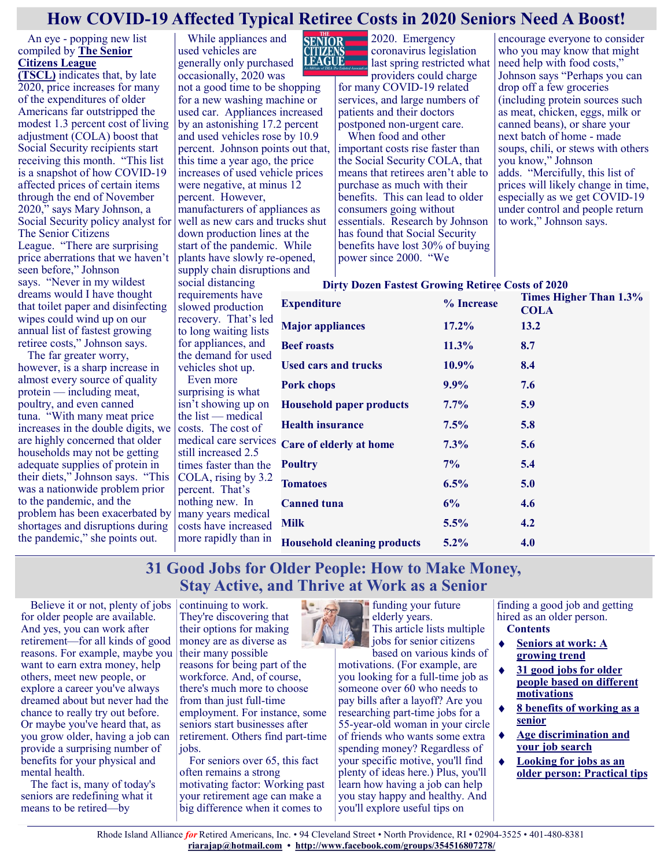#### **How COVID-19 Affected Typical Retiree Costs in 2020 Seniors Need A Boost!**

#### An eye - popping new list compiled by **[The Senior](http://www.seniorsleague.org/)  [Citizens League](http://www.seniorsleague.org/)**

**[\(TSCL\)](http://www.seniorsleague.org/)** indicates that, by late 2020, price increases for many of the expenditures of older Americans far outstripped the modest 1.3 percent cost of living adjustment (COLA) boost that Social Security recipients start receiving this month. "This list is a snapshot of how COVID-19 affected prices of certain items through the end of November 2020," says Mary Johnson, a Social Security policy analyst for The Senior Citizens League. "There are surprising price aberrations that we haven't seen before," Johnson says. "Never in my wildest dreams would I have thought that toilet paper and disinfecting wipes could wind up on our annual list of fastest growing retiree costs," Johnson says.

The far greater worry, however, is a sharp increase in almost every source of quality protein — including meat, poultry, and even canned tuna. "With many meat price increases in the double digits, we are highly concerned that older households may not be getting adequate supplies of protein in their diets," Johnson says. "This was a nationwide problem prior to the pandemic, and the problem has been exacerbated by shortages and disruptions during the pandemic," she points out.

While appliances and used vehicles are generally only purchased occasionally, 2020 was

not a good time to be shopping for a new washing machine or used car. Appliances increased by an astonishing 17.2 percent and used vehicles rose by 10.9 percent. Johnson points out that, this time a year ago, the price increases of used vehicle prices were negative, at minus 12 percent. However, manufacturers of appliances as well as new cars and trucks shut down production lines at the start of the pandemic. While plants have slowly re-opened, supply chain disruptions and social distancing

requirements have slowed production



SENIOR 2020. Emergency coronavirus legislation last spring restricted what providers could charge

for many COVID-19 related services, and large numbers of patients and their doctors postponed non-urgent care.

When food and other important costs rise faster than the Social Security COLA, that means that retirees aren't able to purchase as much with their benefits. This can lead to older consumers going without essentials. Research by Johnson has found that Social Security benefits have lost 30% of buying power since 2000. "We

encourage everyone to consider who you may know that might need help with food costs," Johnson says "Perhaps you can drop off a few groceries (including protein sources such as meat, chicken, eggs, milk or canned beans), or share your next batch of home - made soups, chili, or stews with others you know," Johnson adds. "Mercifully, this list of prices will likely change in time, especially as we get COVID-19 under control and people return to work," Johnson says.

#### **Dirty Dozen Fastest Growing Retiree Costs of 2020**

| requirements have<br>slowed production | <b>Expenditure</b>                 | % Increase | Times Higher Than 1.3%<br><b>COLA</b> |
|----------------------------------------|------------------------------------|------------|---------------------------------------|
| recovery. That's led                   | <b>Major appliances</b>            | $17.2\%$   | 13.2                                  |
| to long waiting lists                  |                                    |            |                                       |
| for appliances, and                    | <b>Beef roasts</b>                 | $11.3\%$   | 8.7                                   |
| the demand for used                    |                                    |            |                                       |
| vehicles shot up.                      | <b>Used cars and trucks</b>        | 10.9%      | 8.4                                   |
| Even more                              | <b>Pork chops</b>                  | $9.9\%$    | 7.6                                   |
| surprising is what                     |                                    |            |                                       |
| isn't showing up on                    | <b>Household paper products</b>    | $7.7\%$    | 5.9                                   |
| the list $-$ medical                   | <b>Health insurance</b>            |            |                                       |
| costs. The cost of                     |                                    | 7.5%       | 5.8                                   |
| medical care services                  | Care of elderly at home            | $7.3\%$    | 5.6                                   |
| still increased 2.5                    |                                    |            |                                       |
| times faster than the                  | <b>Poultry</b>                     | $7\%$      | 5.4                                   |
| COLA, rising by 3.2                    |                                    |            |                                       |
| percent. That's                        | <b>Tomatoes</b>                    | 6.5%       | 5.0                                   |
| nothing new. In                        | <b>Canned tuna</b>                 | 6%         | 4.6                                   |
| many years medical                     |                                    |            |                                       |
| costs have increased                   | Milk                               | 5.5%       | 4.2                                   |
| more rapidly than in                   | <b>Household cleaning products</b> | $5.2\%$    | 4.0                                   |
|                                        |                                    |            |                                       |

#### **31 Good Jobs for Older People: How to Make Money, Stay Active, and Thrive at Work as a Senior**

Believe it or not, plenty of jobs for older people are available. And yes, you can work after retirement—for all kinds of good reasons. For example, maybe you want to earn extra money, help others, meet new people, or explore a career you've always dreamed about but never had the chance to really try out before. Or maybe you've heard that, as you grow older, having a job can provide a surprising number of benefits for your physical and mental health.

The fact is, many of today's seniors are redefining what it means to be retired—by

continuing to work. They're discovering that their options for making money are as diverse as their many possible reasons for being part of the workforce. And, of course, there's much more to choose from than just full-time employment. For instance, some seniors start businesses after retirement. Others find part-time jobs. For seniors over 65, this fact

often remains a strong motivating factor: Working past your retirement age can make a big difference when it comes to

funding your future elderly years. This article lists multiple jobs for senior citizens

based on various kinds of motivations. (For example, are you looking for a full-time job as someone over 60 who needs to pay bills after a layoff? Are you researching part-time jobs for a 55-year-old woman in your circle of friends who wants some extra spending money? Regardless of your specific motive, you'll find plenty of ideas here.) Plus, you'll learn how having a job can help you stay happy and healthy. And you'll explore useful tips on

finding a good job and getting hired as an older person. **Contents**

- **[Seniors at work: A](https://www.greatseniorliving.com/articles/jobs-for-older-people#growing-trend)**   $\bullet$ **[growing trend](https://www.greatseniorliving.com/articles/jobs-for-older-people#growing-trend)**
- $\blacklozenge$ **[31 good jobs for older](https://www.greatseniorliving.com/articles/jobs-for-older-people#different-motivations)  [people based on different](https://www.greatseniorliving.com/articles/jobs-for-older-people#different-motivations)  [motivations](https://www.greatseniorliving.com/articles/jobs-for-older-people#different-motivations)**
- **[8 benefits of working as a](https://www.greatseniorliving.com/articles/jobs-for-older-people#benefits)  [senior](https://www.greatseniorliving.com/articles/jobs-for-older-people#benefits)**
- **[Age discrimination and](https://www.greatseniorliving.com/articles/jobs-for-older-people#age-discrimination)**   $\blacklozenge$ **[your job search](https://www.greatseniorliving.com/articles/jobs-for-older-people#age-discrimination)**
- **[Looking for jobs as an](https://www.greatseniorliving.com/articles/jobs-for-older-people#practical-tips)  [older person: Practical tips](https://www.greatseniorliving.com/articles/jobs-for-older-people#practical-tips)**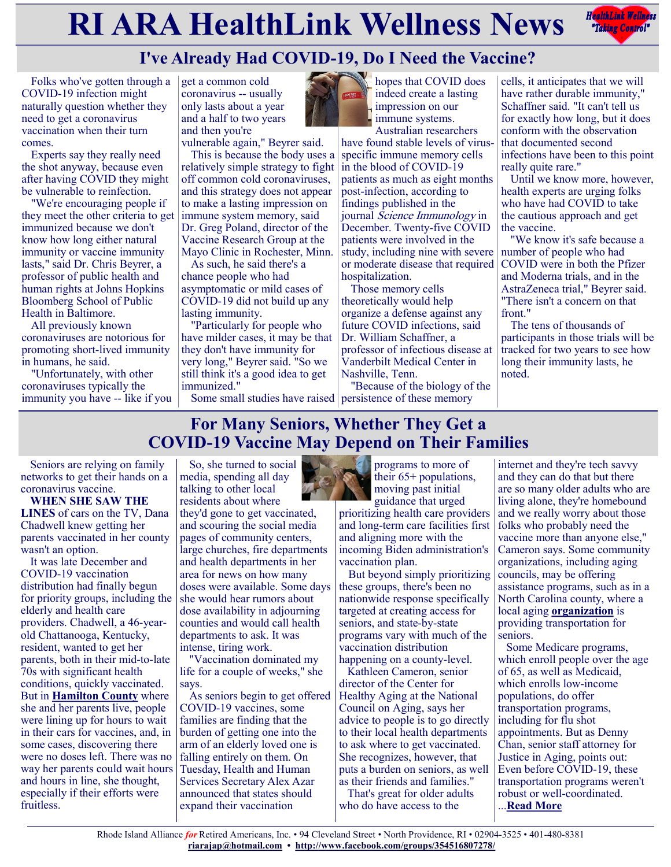# **RIARA HealthLink Wellness News** *Redige Controly*



# **I've Already Had COVID-19, Do I Need the Vaccine?**

Folks who've gotten through a COVID-19 infection might naturally question whether they need to get a coronavirus vaccination when their turn comes.

Experts say they really need the shot anyway, because even after having COVID they might be vulnerable to reinfection.

"We're encouraging people if they meet the other criteria to get immunized because we don't know how long either natural immunity or vaccine immunity lasts," said Dr. Chris Beyrer, a professor of public health and human rights at Johns Hopkins Bloomberg School of Public Health in Baltimore.

All previously known coronaviruses are notorious for promoting short-lived immunity in humans, he said.

"Unfortunately, with other coronaviruses typically the immunity you have -- like if you

get a common cold coronavirus -- usually only lasts about a year and a half to two years and then you're

vulnerable again," Beyrer said.

This is because the body uses a relatively simple strategy to fight off common cold coronaviruses, and this strategy does not appear to make a lasting impression on immune system memory, said Dr. Greg Poland, director of the Vaccine Research Group at the Mayo Clinic in Rochester, Minn.

As such, he said there's a chance people who had asymptomatic or mild cases of COVID-19 did not build up any lasting immunity.

"Particularly for people who have milder cases, it may be that they don't have immunity for very long," Beyrer said. "So we still think it's a good idea to get immunized."

Some small studies have raised persistence of these memory

hopes that COVID does indeed create a lasting impression on our immune systems. Australian researchers

have found stable levels of virusspecific immune memory cells in the blood of COVID-19 patients as much as eight months post-infection, according to findings published in the journal Science Immunology in December. Twenty-five COVID patients were involved in the study, including nine with severe or moderate disease that required hospitalization.

Those memory cells theoretically would help organize a defense against any future COVID infections, said Dr. William Schaffner, a professor of infectious disease at Vanderbilt Medical Center in Nashville, Tenn.

"Because of the biology of the

cells, it anticipates that we will have rather durable immunity," Schaffner said. "It can't tell us for exactly how long, but it does conform with the observation that documented second infections have been to this point really quite rare."

Until we know more, however, health experts are urging folks who have had COVID to take the cautious approach and get the vaccine.

"We know it's safe because a number of people who had COVID were in both the Pfizer and Moderna trials, and in the AstraZeneca trial," Beyrer said. "There isn't a concern on that front."

The tens of thousands of participants in those trials will be tracked for two years to see how long their immunity lasts, he noted.

## **For Many Seniors, Whether They Get a COVID-19 Vaccine May Depend on Their Families**

Seniors are relying on family networks to get their hands on a coronavirus vaccine.

**WHEN SHE SAW THE LINES** of cars on the TV, Dana Chadwell knew getting her parents vaccinated in her county wasn't an option.

It was late December and COVID-19 vaccination distribution had finally begun for priority groups, including the elderly and health care providers. Chadwell, a 46-yearold Chattanooga, Kentucky, resident, wanted to get her parents, both in their mid-to-late 70s with significant health conditions, quickly vaccinated. But in **[Hamilton County](https://newschannel9.com/news/coronavirus/tuesday-vaccine-lines-in-chattanooga-already-long)** where she and her parents live, people were lining up for hours to wait in their cars for vaccines, and, in some cases, discovering there were no doses left. There was no way her parents could wait hours and hours in line, she thought, especially if their efforts were fruitless.

So, she turned to social media, spending all day talking to other local residents about where they'd gone to get vaccinated, and scouring the social media pages of community centers, large churches, fire departments and health departments in her area for news on how many doses were available. Some days she would hear rumors about dose availability in adjourning counties and would call health departments to ask. It was intense, tiring work.

"Vaccination dominated my life for a couple of weeks," she says.

As seniors begin to get offered COVID-19 vaccines, some families are finding that the burden of getting one into the arm of an elderly loved one is falling entirely on them. On Tuesday, Health and Human Services Secretary Alex Azar announced that states should expand their vaccination



programs to more of their 65+ populations, moving past initial guidance that urged

prioritizing health care providers and long-term care facilities first and aligning more with the incoming Biden administration's vaccination plan.

But beyond simply prioritizing these groups, there's been no nationwide response specifically targeted at creating access for seniors, and state-by-state programs vary with much of the vaccination distribution happening on a county-level.

Kathleen Cameron, senior director of the Center for Healthy Aging at the National Council on Aging, says her advice to people is to go directly to their local health departments to ask where to get vaccinated. She recognizes, however, that puts a burden on seniors, as well as their friends and families."

That's great for older adults who do have access to the

internet and they're tech savvy and they can do that but there are so many older adults who are living alone, they're homebound and we really worry about those folks who probably need the vaccine more than anyone else," Cameron says. Some community organizations, including aging councils, may be offering assistance programs, such as in a North Carolina county, where a local aging **[organization](https://wpde.com/amp/news/local/hccoa-to-provide-transportation-for-seniors-who-want-covid-19-vaccination)** is providing transportation for seniors.

Some Medicare programs, which enroll people over the age of 65, as well as Medicaid, which enrolls low-income populations, do offer transportation programs, including for flu shot appointments. But as Denny Chan, senior staff attorney for Justice in Aging, points out: Even before COVID-19, these transportation programs weren't robust or well-coordinated. ...**[Read More](https://www.usnews.com/news/health-news/articles/2021-01-14/for-many-seniors-whether-they-get-a-covid-19-vaccine-may-depend-on-their-families)**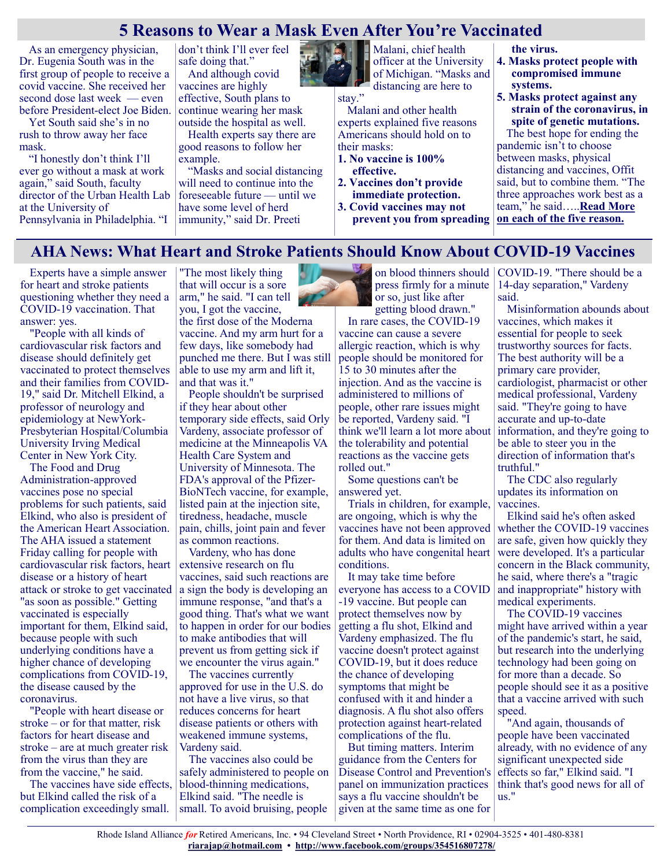#### **5 Reasons to Wear a Mask Even After You're Vaccinated**

As an emergency physician, Dr. Eugenia South was in the first group of people to receive a covid vaccine. She received her second dose last week — even before President-elect Joe Biden.

Yet South said she's in no rush to throw away her face mask.

"I honestly don't think I'll ever go without a mask at work again," said South, faculty director of the Urban Health Lab at the University of Pennsylvania in Philadelphia. "I

don't think I'll ever feel safe doing that." And although covid

vaccines are highly effective, South plans to continue wearing her mask outside the hospital as well.

Health experts say there are good reasons to follow her example.

"Masks and social distancing will need to continue into the foreseeable future — until we have some level of herd immunity," said Dr. Preeti



Malani, chief health officer at the University of Michigan. "Masks and distancing are here to

stay."

Malani and other health experts explained five reasons Americans should hold on to their masks:

- **1. No vaccine is 100% effective.**
- **2. Vaccines don't provide immediate protection.**

**3. Covid vaccines may not prevent you from spreading** 

#### **the virus.**

- **4. Masks protect people with compromised immune systems.**
- **5. Masks protect against any strain of the coronavirus, in spite of genetic mutations.** The best hope for ending the pandemic isn't to choose between masks, physical distancing and vaccines, Offit said, but to combine them. "The

three approaches work best as a team," he said…..**[Read More](https://khn.org/news/article/5-reasons-to-wear-a-mask-even-after-youre-vaccinated/)  [on each of the five reason.](https://khn.org/news/article/5-reasons-to-wear-a-mask-even-after-youre-vaccinated/)**

#### **AHA News: What Heart and Stroke Patients Should Know About COVID-19 Vaccines**

Experts have a simple answer for heart and stroke patients questioning whether they need a COVID-19 vaccination. That answer: yes.

"People with all kinds of cardiovascular risk factors and disease should definitely get vaccinated to protect themselves and their families from COVID-19," said Dr. Mitchell Elkind, a professor of neurology and epidemiology at NewYork-Presbyterian Hospital/Columbia University Irving Medical Center in New York City.

The Food and Drug Administration-approved vaccines pose no special problems for such patients, said Elkind, who also is president of the American Heart Association. The AHA issued a statement Friday calling for people with cardiovascular risk factors, heart disease or a history of heart attack or stroke to get vaccinated "as soon as possible." Getting vaccinated is especially important for them, Elkind said, because people with such underlying conditions have a higher chance of developing complications from COVID-19, the disease caused by the coronavirus.

"People with heart disease or stroke – or for that matter, risk factors for heart disease and stroke – are at much greater risk from the virus than they are from the vaccine," he said.

The vaccines have side effects, but Elkind called the risk of a complication exceedingly small.

"The most likely thing that will occur is a sore arm," he said. "I can tell you, I got the vaccine, the first dose of the Moderna vaccine. And my arm hurt for a

few days, like somebody had punched me there. But I was still able to use my arm and lift it, and that was it."

People shouldn't be surprised if they hear about other temporary side effects, said Orly Vardeny, associate professor of medicine at the Minneapolis VA Health Care System and University of Minnesota. The FDA's approval of the Pfizer-BioNTech vaccine, for example, listed pain at the injection site, tiredness, headache, muscle pain, chills, joint pain and fever as common reactions.

Vardeny, who has done extensive research on flu vaccines, said such reactions are a sign the body is developing an immune response, "and that's a good thing. That's what we want to happen in order for our bodies to make antibodies that will prevent us from getting sick if we encounter the virus again."

The vaccines currently approved for use in the U.S. do not have a live virus, so that reduces concerns for heart disease patients or others with weakened immune systems, Vardeny said.

The vaccines also could be safely administered to people on blood-thinning medications, Elkind said. "The needle is small. To avoid bruising, people

on blood thinners should press firmly for a minute or so, just like after getting blood drawn."

In rare cases, the COVID-19 vaccine can cause a severe allergic reaction, which is why people should be monitored for 15 to 30 minutes after the injection. And as the vaccine is administered to millions of people, other rare issues might be reported, Vardeny said. "I think we'll learn a lot more about the tolerability and potential reactions as the vaccine gets rolled out."

Some questions can't be answered yet.

Trials in children, for example, are ongoing, which is why the vaccines have not been approved for them. And data is limited on adults who have congenital heart conditions.

It may take time before everyone has access to a COVID -19 vaccine. But people can protect themselves now by getting a flu shot, Elkind and Vardeny emphasized. The flu vaccine doesn't protect against COVID-19, but it does reduce the chance of developing symptoms that might be confused with it and hinder a diagnosis. A flu shot also offers protection against heart-related complications of the flu.

But timing matters. Interim guidance from the Centers for Disease Control and Prevention's panel on immunization practices says a flu vaccine shouldn't be given at the same time as one for

COVID-19. "There should be a 14-day separation," Vardeny said.

Misinformation abounds about vaccines, which makes it essential for people to seek trustworthy sources for facts. The best authority will be a primary care provider, cardiologist, pharmacist or other medical professional, Vardeny said. "They're going to have accurate and up-to-date information, and they're going to be able to steer you in the direction of information that's truthful."

The CDC also regularly updates its information on vaccines.

Elkind said he's often asked whether the COVID-19 vaccines are safe, given how quickly they were developed. It's a particular concern in the Black community, he said, where there's a "tragic and inappropriate" history with medical experiments.

The COVID-19 vaccines might have arrived within a year of the pandemic's start, he said, but research into the underlying technology had been going on for more than a decade. So people should see it as a positive that a vaccine arrived with such speed.

"And again, thousands of people have been vaccinated already, with no evidence of any significant unexpected side effects so far," Elkind said. "I think that's good news for all of us."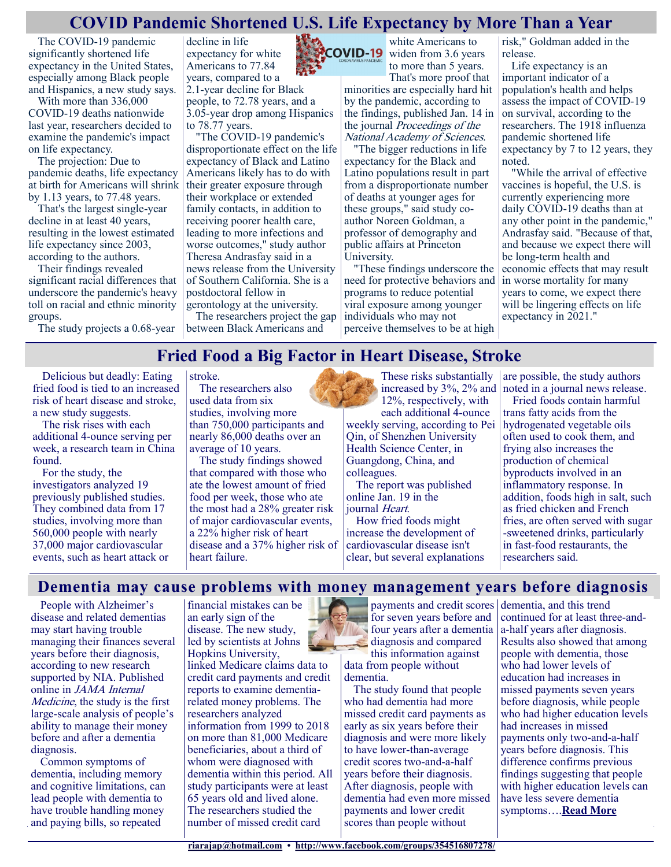#### **COVID Pandemic Shortened U.S. Life Expectancy by More Than a Year**

The COVID-19 pandemic significantly shortened life expectancy in the United States, especially among Black people and Hispanics, a new study says.

With more than 336,000 COVID-19 deaths nationwide last year, researchers decided to examine the pandemic's impact on life expectancy.

The projection: Due to pandemic deaths, life expectancy at birth for Americans will shrink by 1.13 years, to 77.48 years.

That's the largest single-year decline in at least 40 years, resulting in the lowest estimated life expectancy since 2003, according to the authors.

Their findings revealed significant racial differences that underscore the pandemic's heavy toll on racial and ethnic minority groups.

The study projects a 0.68-year

decline in life expectancy for white Americans to 77.84 years, compared to a

2.1-year decline for Black people, to 72.78 years, and a 3.05-year drop among Hispanics to 78.77 years.

"The COVID-19 pandemic's disproportionate effect on the life expectancy of Black and Latino Americans likely has to do with their greater exposure through their workplace or extended family contacts, in addition to receiving poorer health care, leading to more infections and worse outcomes," study author Theresa Andrasfay said in a news release from the University of Southern California. She is a postdoctoral fellow in gerontology at the university.

The researchers project the gap between Black Americans and



white Americans to **COVID-19** widen from 3.6 years to more than 5 years.

> That's more proof that minorities are especially hard hit by the pandemic, according to the findings, published Jan. 14 in the journal Proceedings of the National Academy of Sciences.

"The bigger reductions in life expectancy for the Black and Latino populations result in part from a disproportionate number of deaths at younger ages for these groups," said study coauthor Noreen Goldman, a professor of demography and public affairs at Princeton University.

"These findings underscore the need for protective behaviors and programs to reduce potential viral exposure among younger individuals who may not perceive themselves to be at high

risk," Goldman added in the release.

Life expectancy is an important indicator of a population's health and helps assess the impact of COVID-19 on survival, according to the researchers. The 1918 influenza pandemic shortened life expectancy by 7 to 12 years, they noted.

"While the arrival of effective vaccines is hopeful, the U.S. is currently experiencing more daily COVID-19 deaths than at any other point in the pandemic," Andrasfay said. "Because of that, and because we expect there will be long-term health and economic effects that may result in worse mortality for many years to come, we expect there will be lingering effects on life expectancy in 2021."

#### **Fried Food a Big Factor in Heart Disease, Stroke**

Delicious but deadly: Eating fried food is tied to an increased risk of heart disease and stroke, a new study suggests.

The risk rises with each additional 4-ounce serving per week, a research team in China found.

For the study, the investigators analyzed 19 previously published studies. They combined data from 17 studies, involving more than 560,000 people with nearly 37,000 major cardiovascular events, such as heart attack or stroke. The researchers also

used data from six studies, involving more than 750,000 participants and nearly 86,000 deaths over an average of 10 years.

The study findings showed that compared with those who ate the lowest amount of fried food per week, those who ate the most had a 28% greater risk of major cardiovascular events, a 22% higher risk of heart disease and a 37% higher risk of heart failure.

These risks substantially increased by 3%, 2% and 12%, respectively, with each additional 4-ounce

weekly serving, according to Pei Qin, of Shenzhen University Health Science Center, in Guangdong, China, and colleagues.

The report was published online Jan. 19 in the journal Heart.

How fried foods might increase the development of cardiovascular disease isn't clear, but several explanations

are possible, the study authors noted in a journal news release.

Fried foods contain harmful trans fatty acids from the hydrogenated vegetable oils often used to cook them, and frying also increases the production of chemical byproducts involved in an inflammatory response. In addition, foods high in salt, such as fried chicken and French fries, are often served with sugar -sweetened drinks, particularly in fast-food restaurants, the researchers said.

**Dementia may cause problems with money management years before diagnosis**

People with Alzheimer's disease and related dementias may start having trouble managing their finances several years before their diagnosis, according to new research supported by NIA. Published online in JAMA Internal Medicine, the study is the first large-scale analysis of people's ability to manage their money before and after a dementia diagnosis.

Common symptoms of dementia, including memory and cognitive limitations, can lead people with dementia to have trouble handling money and paying bills, so repeated

financial mistakes can be an early sign of the disease. The new study, led by scientists at Johns Hopkins University,

Rhode Island Alliance *for* Retired Americans, Inc. • 94 Cleveland Street • North Providence, RI • 02904-3525 • 401-480-8381 linked Medicare claims data to credit card payments and credit reports to examine dementiarelated money problems. The researchers analyzed information from 1999 to 2018 on more than 81,000 Medicare beneficiaries, about a third of whom were diagnosed with dementia within this period. All study participants were at least 65 years old and lived alone. The researchers studied the number of missed credit card

payments and credit scores dementia, and this trend for seven years before and **four years after a demential** diagnosis and compared

this information against data from people without dementia.

The study found that people who had dementia had more missed credit card payments as early as six years before their diagnosis and were more likely to have lower-than-average credit scores two-and-a-half years before their diagnosis. After diagnosis, people with dementia had even more missed payments and lower credit scores than people without

continued for at least three-anda-half years after diagnosis. Results also showed that among people with dementia, those who had lower levels of education had increases in missed payments seven years before diagnosis, while people who had higher education levels had increases in missed payments only two-and-a-half years before diagnosis. This difference confirms previous findings suggesting that people with higher education levels can have less severe dementia symptoms….**[Read More](https://www.nia.nih.gov/news/dementia-may-cause-problems-money-management-years-before-diagnosis)**